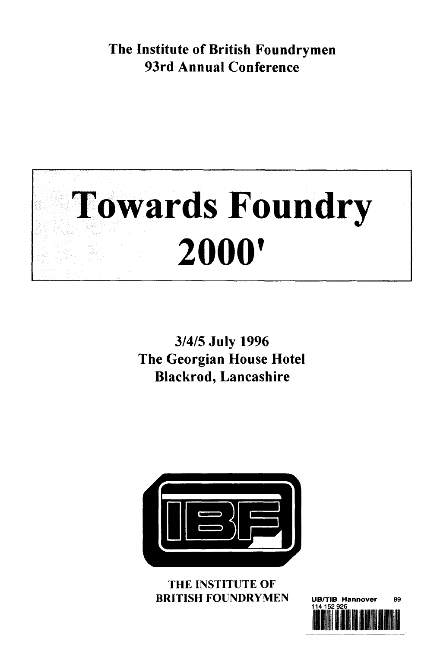**The Institute of British Foundrymen 93rd Annual Conference**



**3/4/5 July 1996 The Georgian House Hotel Blackrod, Lancashire**



THE INSTITUTE OF **BRITISH FOUNDRYMEN** UB/TIB Hannover 89

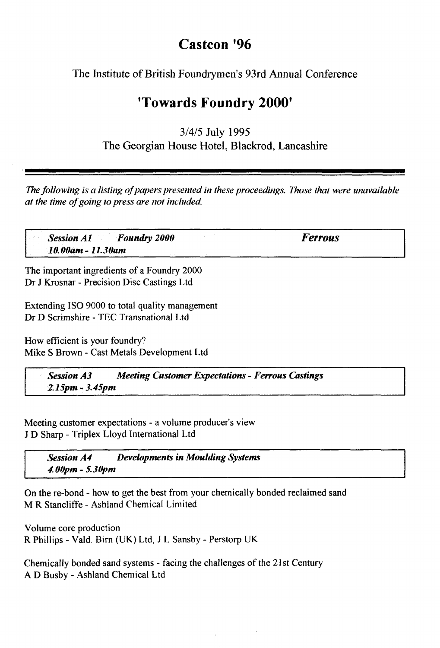## **Castcon '96**

The Institute of British Foundrymen's 93rd Annual Conference

## **'Towards Foundry 2000<sup>1</sup>**

3/4/5 July 1995 The Georgian House Hotel, Blackrod, Lancashire

*The following is a listing of papers presented in these proceedings. Those that were unavailable at the time of going to press are not included.*

| Session A1 Foundry 2000        | <b>Ferrous</b> |
|--------------------------------|----------------|
| $10.00$ am - 11.30am<br>$\sim$ |                |
| ---                            |                |

The important ingredients of a Foundry 2000 Dr J Krosnar - Precision Disc Castings Ltd

Extending ISO 9000 to total quality management Dr D Scrimshire - TEC Transnational Ltd

How efficient is your foundry? Mike S Brown - Cast Metals Development Ltd

> *Session A3 Meeting Customer Expectations - Ferrous Castings 2.15pm-3.45pm*

Meeting customer expectations - a volume producer's view J D Sharp - Triplex Lloyd International Ltd

*Session A4 Developments in Moulding Systems 4.00pm - 5.30pm*

On the re-bond - how to get the best from your chemically bonded reclaimed sand M R Stancliffe - Ashland Chemical Limited

Volume core production R Phillips - Vald. Birn (UK) Ltd, J L Sansby - Perstorp UK

Chemically bonded sand systems - facing the challenges of the 21st Century A D Busby - Ashland Chemical Ltd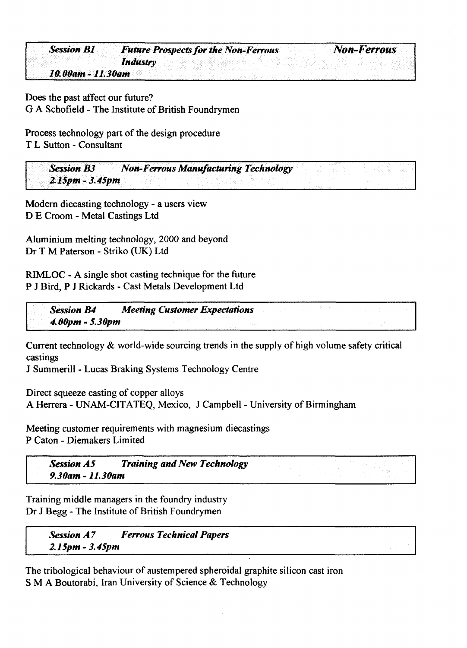|  | <b>Session B1</b> |  |  | <b>Future Prospects for the Non-Ferrous</b> |  |  |  |  |  |  |  |  |  | <b>Non-Ferrous</b> |  |
|--|-------------------|--|--|---------------------------------------------|--|--|--|--|--|--|--|--|--|--------------------|--|
|  |                   |  |  |                                             |  |  |  |  |  |  |  |  |  |                    |  |
|  |                   |  |  |                                             |  |  |  |  |  |  |  |  |  |                    |  |
|  |                   |  |  | Industry                                    |  |  |  |  |  |  |  |  |  |                    |  |
|  |                   |  |  |                                             |  |  |  |  |  |  |  |  |  |                    |  |
|  |                   |  |  |                                             |  |  |  |  |  |  |  |  |  |                    |  |
|  |                   |  |  |                                             |  |  |  |  |  |  |  |  |  |                    |  |
|  | 10.00am - 11.30am |  |  |                                             |  |  |  |  |  |  |  |  |  |                    |  |
|  |                   |  |  |                                             |  |  |  |  |  |  |  |  |  |                    |  |

Does the past affect our future? G A Schofield - The Institute of British Foundrymen

Process technology part of the design procedure T L Sutton - Consultant

*Session B3 Non-Ferrous Manufacturing Technology 2.15pm- 3.45pm*

Modern diecasting technology - a users view D E Croom - Metal Castings Ltd

Aluminium melting technology, 2000 and beyond Dr T M Paterson - Striko (UK) Ltd

RIMLOC - A single shot casting technique for the future P J Bird, P J Rickards - Cast Metals Development Ltd

*Session B4 Meeting Customer Expectations 4.00pm-5.30pm*

Current technology & world-wide sourcing trends in the supply of high volume safety critical castings

J Summerill - Lucas Braking Systems Technology Centre

Direct squeeze casting of copper alloys A Herrera - UNAM-CITATEQ, Mexico, J Campbell - University of Birmingham

Meeting customer requirements with magnesium diecastings P Caton - Diemakers Limited

**Session A5** Training and New Technology *9.30am - 11.30am*

Training middle managers in the foundry industry Dr J Begg - The Institute of British Foundrymen

**Session A7** Ferrous Technical Papers *2.15pm-3.45pm*

The tribological behaviour of austempered spheroidal graphite silicon cast iron S M A Boutorabi, Iran University of Science & Technology